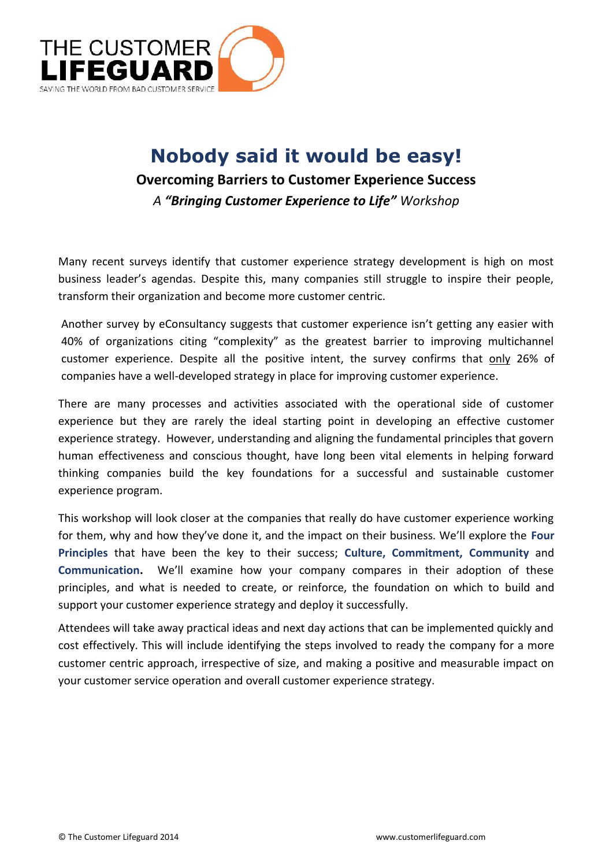

## **Nobody said it would be easy! Overcoming Barriers to Customer Experience Success** *A "Bringing Customer Experience to Life" Workshop*

Many recent surveys identify that customer experience strategy development is high on most business leader's agendas. Despite this, many companies still struggle to inspire their people, transform their organization and become more customer centric.

Another survey by eConsultancy suggests that customer experience isn't getting any easier with 40% of organizations citing "complexity" as the greatest barrier to improving multichannel customer experience. Despite all the positive intent, the survey confirms that only 26% of companies have a well-developed strategy in place for improving customer experience.

There are many processes and activities associated with the operational side of customer experience but they are rarely the ideal starting point in developing an effective customer experience strategy. However, understanding and aligning the fundamental principles that govern human effectiveness and conscious thought, have long been vital elements in helping forward thinking companies build the key foundations for a successful and sustainable customer experience program.

This workshop will look closer at the companies that really do have customer experience working for them, why and how they've done it, and the impact on their business. We'll explore the **Four Principles** that have been the key to their success; **Culture, Commitment, Community** and **Communication.** We'll examine how your company compares in their adoption of these principles, and what is needed to create, or reinforce, the foundation on which to build and support your customer experience strategy and deploy it successfully.

Attendees will take away practical ideas and next day actions that can be implemented quickly and cost effectively. This will include identifying the steps involved to ready the company for a more customer centric approach, irrespective of size, and making a positive and measurable impact on your customer service operation and overall customer experience strategy.